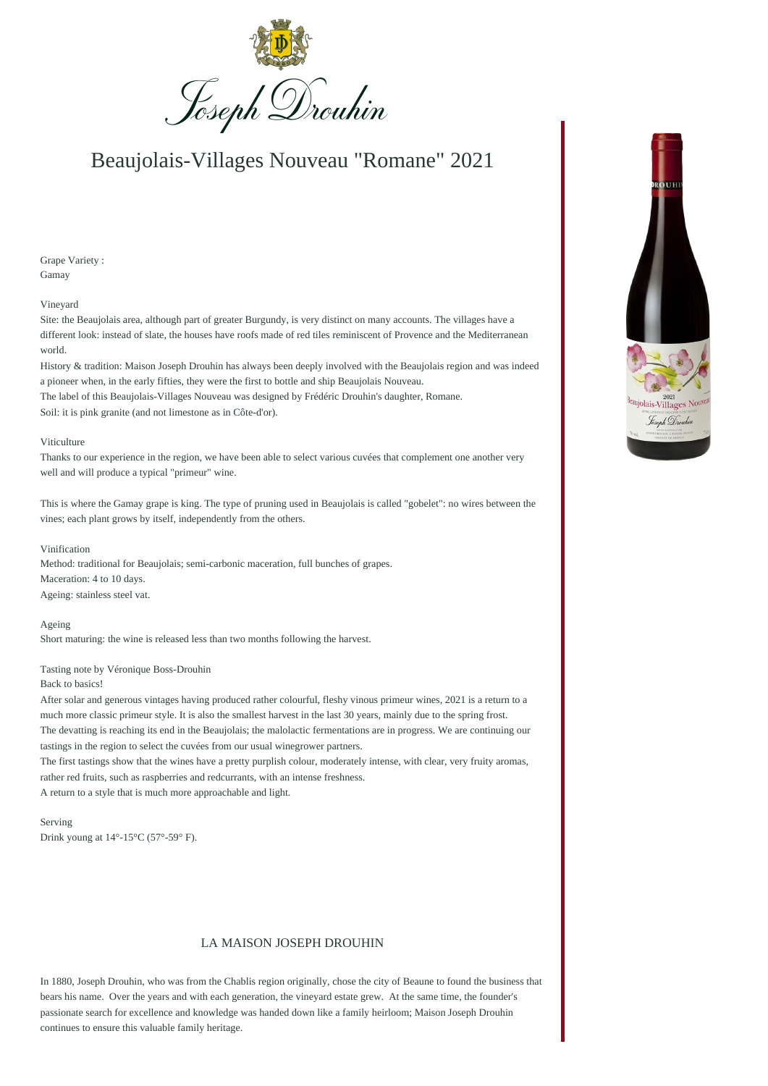

# Beaujolais-Villages Nouveau "Romane" 2021

Grape Variety : Gamay

### Vineyard

Site: the Beaujolais area, although part of greater Burgundy, is very distinct on many accounts. The villages have a different look: instead of slate, the houses have roofs made of red tiles reminiscent of Provence and the Mediterranean world.

History & tradition: Maison Joseph Drouhin has always been deeply involved with the Beaujolais region and was indeed a pioneer when, in the early fifties, they were the first to bottle and ship Beaujolais Nouveau. The label of this Beaujolais-Villages Nouveau was designed by Frédéric Drouhin's daughter, Romane.

Soil: it is pink granite (and not limestone as in Côte-d'or).

### Viticulture

Thanks to our experience in the region, we have been able to select various cuvées that complement one another very well and will produce a typical "primeur" wine.

This is where the Gamay grape is king. The type of pruning used in Beaujolais is called "gobelet": no wires between the vines; each plant grows by itself, independently from the others.

#### Vinification

Method: traditional for Beaujolais; semi-carbonic maceration, full bunches of grapes. Maceration: 4 to 10 days. Ageing: stainless steel vat.

Ageing

Short maturing: the wine is released less than two months following the harvest.

## Tasting note by Véronique Boss-Drouhin

#### Back to basics!

After solar and generous vintages having produced rather colourful, fleshy vinous primeur wines, 2021 is a return to a much more classic primeur style. It is also the smallest harvest in the last 30 years, mainly due to the spring frost. The devatting is reaching its end in the Beaujolais; the malolactic fermentations are in progress. We are continuing our tastings in the region to select the cuvées from our usual winegrower partners.

The first tastings show that the wines have a pretty purplish colour, moderately intense, with clear, very fruity aromas, rather red fruits, such as raspberries and redcurrants, with an intense freshness. A return to a style that is much more approachable and light.

Serving Drink young at 14°-15°C (57°-59° F).

## LA MAISON JOSEPH DROUHIN

In 1880, Joseph Drouhin, who was from the Chablis region originally, chose the city of Beaune to found the business that bears his name. Over the years and with each generation, the vineyard estate grew. At the same time, the founder's passionate search for excellence and knowledge was handed down like a family heirloom; Maison Joseph Drouhin continues to ensure this valuable family heritage.